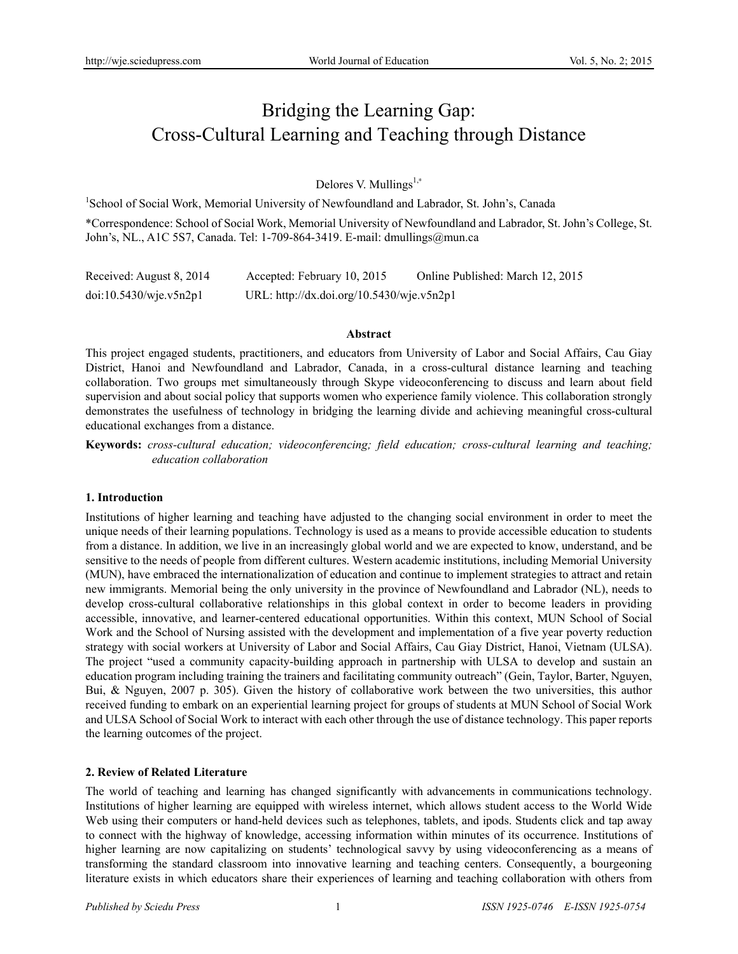# Bridging the Learning Gap: Cross-Cultural Learning and Teaching through Distance

Delores V. Mullings $1,*$ 

<sup>1</sup>School of Social Work, Memorial University of Newfoundland and Labrador, St. John's, Canada \*Correspondence: School of Social Work, Memorial University of Newfoundland and Labrador, St. John's College, St. John's, NL., A1C 5S7, Canada. Tel: 1-709-864-3419. E-mail: dmullings@mun.ca

| Received: August 8, 2014 | Accepted: February 10, 2015               | Online Published: March 12, 2015 |
|--------------------------|-------------------------------------------|----------------------------------|
| doi:10.5430/wje.v5n2p1   | URL: http://dx.doi.org/10.5430/wje.v5n2p1 |                                  |

#### **Abstract**

This project engaged students, practitioners, and educators from University of Labor and Social Affairs, Cau Giay District, Hanoi and Newfoundland and Labrador, Canada, in a cross-cultural distance learning and teaching collaboration. Two groups met simultaneously through Skype videoconferencing to discuss and learn about field supervision and about social policy that supports women who experience family violence. This collaboration strongly demonstrates the usefulness of technology in bridging the learning divide and achieving meaningful cross-cultural educational exchanges from a distance.

**Keywords:** *cross-cultural education; videoconferencing; field education; cross-cultural learning and teaching; education collaboration*

#### **1. Introduction**

Institutions of higher learning and teaching have adjusted to the changing social environment in order to meet the unique needs of their learning populations. Technology is used as a means to provide accessible education to students from a distance. In addition, we live in an increasingly global world and we are expected to know, understand, and be sensitive to the needs of people from different cultures. Western academic institutions, including Memorial University (MUN), have embraced the internationalization of education and continue to implement strategies to attract and retain new immigrants. Memorial being the only university in the province of Newfoundland and Labrador (NL), needs to develop cross-cultural collaborative relationships in this global context in order to become leaders in providing accessible, innovative, and learner-centered educational opportunities. Within this context, MUN School of Social Work and the School of Nursing assisted with the development and implementation of a five year poverty reduction strategy with social workers at University of Labor and Social Affairs, Cau Giay District, Hanoi, Vietnam (ULSA). The project "used a community capacity-building approach in partnership with ULSA to develop and sustain an education program including training the trainers and facilitating community outreach" (Gein, Taylor, Barter, Nguyen, Bui, & Nguyen, 2007 p. 305). Given the history of collaborative work between the two universities, this author received funding to embark on an experiential learning project for groups of students at MUN School of Social Work and ULSA School of Social Work to interact with each other through the use of distance technology. This paper reports the learning outcomes of the project.

#### **2. Review of Related Literature**

The world of teaching and learning has changed significantly with advancements in communications technology. Institutions of higher learning are equipped with wireless internet, which allows student access to the World Wide Web using their computers or hand-held devices such as telephones, tablets, and ipods. Students click and tap away to connect with the highway of knowledge, accessing information within minutes of its occurrence. Institutions of higher learning are now capitalizing on students' technological savvy by using videoconferencing as a means of transforming the standard classroom into innovative learning and teaching centers. Consequently, a bourgeoning literature exists in which educators share their experiences of learning and teaching collaboration with others from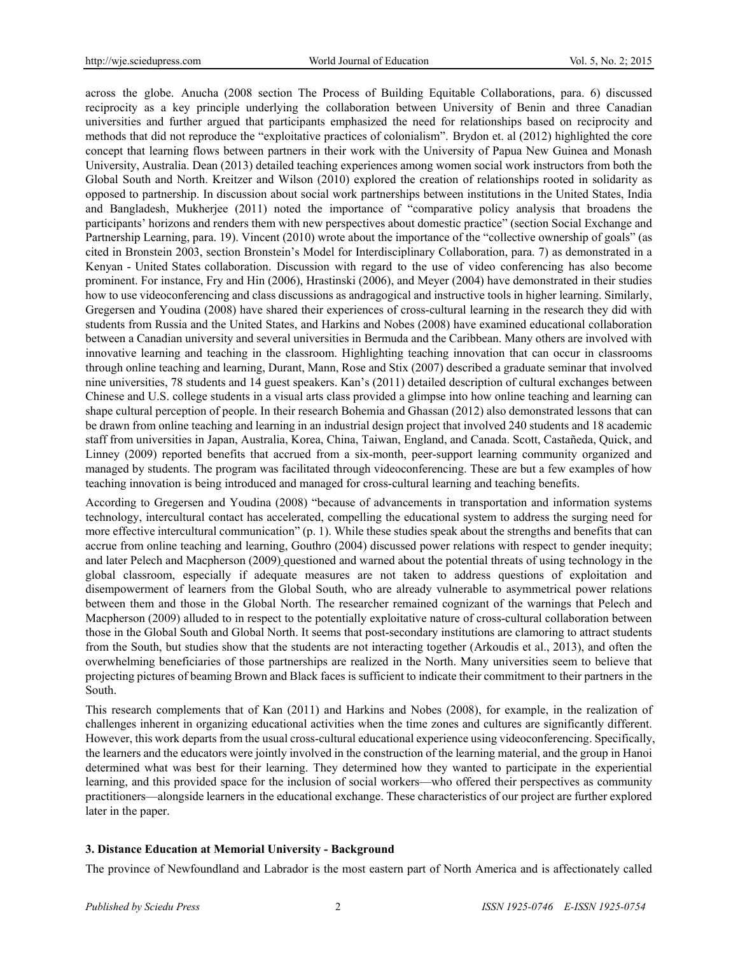across the globe. Anucha (2008 section The Process of Building Equitable Collaborations, para. 6) discussed reciprocity as a key principle underlying the collaboration between University of Benin and three Canadian universities and further argued that participants emphasized the need for relationships based on reciprocity and methods that did not reproduce the "exploitative practices of colonialism". Brydon et. al (2012) highlighted the core concept that learning flows between partners in their work with the University of Papua New Guinea and Monash University, Australia. Dean (2013) detailed teaching experiences among women social work instructors from both the Global South and North. Kreitzer and Wilson (2010) explored the creation of relationships rooted in solidarity as opposed to partnership. In discussion about social work partnerships between institutions in the United States, India and Bangladesh, Mukherjee (2011) noted the importance of "comparative policy analysis that broadens the participants' horizons and renders them with new perspectives about domestic practice" (section Social Exchange and Partnership Learning, para. 19). Vincent (2010) wrote about the importance of the "collective ownership of goals" (as cited in Bronstein 2003, section Bronstein's Model for Interdisciplinary Collaboration, para. 7) as demonstrated in a Kenyan - United States collaboration. Discussion with regard to the use of video conferencing has also become prominent. For instance, Fry and Hin (2006), Hrastinski (2006), and Meyer (2004) have demonstrated in their studies how to use videoconferencing and class discussions as andragogical and instructive tools in higher learning. Similarly, Gregersen and Youdina (2008) have shared their experiences of cross-cultural learning in the research they did with students from Russia and the United States, and Harkins and Nobes (2008) have examined educational collaboration between a Canadian university and several universities in Bermuda and the Caribbean. Many others are involved with innovative learning and teaching in the classroom. Highlighting teaching innovation that can occur in classrooms through online teaching and learning, Durant, Mann, Rose and Stix (2007) described a graduate seminar that involved nine universities, 78 students and 14 guest speakers. Kan's (2011) detailed description of cultural exchanges between Chinese and U.S. college students in a visual arts class provided a glimpse into how online teaching and learning can shape cultural perception of people. In their research Bohemia and Ghassan (2012) also demonstrated lessons that can be drawn from online teaching and learning in an industrial design project that involved 240 students and 18 academic staff from universities in Japan, Australia, Korea, China, Taiwan, England, and Canada. Scott, Castañeda, Quick, and Linney (2009) reported benefits that accrued from a six-month, peer-support learning community organized and managed by students. The program was facilitated through videoconferencing. These are but a few examples of how teaching innovation is being introduced and managed for cross-cultural learning and teaching benefits.

According to Gregersen and Youdina (2008) "because of advancements in transportation and information systems technology, intercultural contact has accelerated, compelling the educational system to address the surging need for more effective intercultural communication" (p. 1). While these studies speak about the strengths and benefits that can accrue from online teaching and learning, Gouthro (2004) discussed power relations with respect to gender inequity; and later Pelech and Macpherson (2009) questioned and warned about the potential threats of using technology in the global classroom, especially if adequate measures are not taken to address questions of exploitation and disempowerment of learners from the Global South, who are already vulnerable to asymmetrical power relations between them and those in the Global North. The researcher remained cognizant of the warnings that Pelech and Macpherson (2009) alluded to in respect to the potentially exploitative nature of cross-cultural collaboration between those in the Global South and Global North. It seems that post-secondary institutions are clamoring to attract students from the South, but studies show that the students are not interacting together (Arkoudis et al., 2013), and often the overwhelming beneficiaries of those partnerships are realized in the North. Many universities seem to believe that projecting pictures of beaming Brown and Black faces is sufficient to indicate their commitment to their partners in the South.

This research complements that of Kan (2011) and Harkins and Nobes (2008), for example, in the realization of challenges inherent in organizing educational activities when the time zones and cultures are significantly different. However, this work departs from the usual cross-cultural educational experience using videoconferencing. Specifically, the learners and the educators were jointly involved in the construction of the learning material, and the group in Hanoi determined what was best for their learning. They determined how they wanted to participate in the experiential learning, and this provided space for the inclusion of social workers—who offered their perspectives as community practitioners—alongside learners in the educational exchange. These characteristics of our project are further explored later in the paper.

#### **3. Distance Education at Memorial University - Background**

The province of Newfoundland and Labrador is the most eastern part of North America and is affectionately called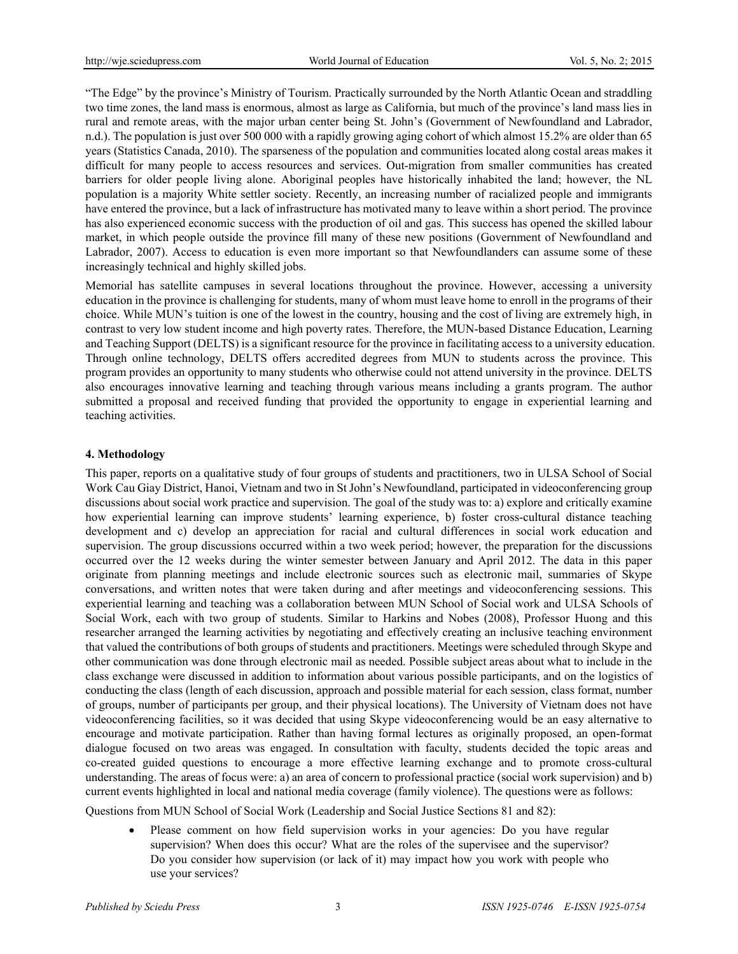"The Edge" by the province's Ministry of Tourism. Practically surrounded by the North Atlantic Ocean and straddling two time zones, the land mass is enormous, almost as large as California, but much of the province's land mass lies in rural and remote areas, with the major urban center being St. John's (Government of Newfoundland and Labrador, n.d.). The population is just over 500 000 with a rapidly growing aging cohort of which almost 15.2% are older than 65 years (Statistics Canada, 2010). The sparseness of the population and communities located along costal areas makes it difficult for many people to access resources and services. Out-migration from smaller communities has created barriers for older people living alone. Aboriginal peoples have historically inhabited the land; however, the NL population is a majority White settler society. Recently, an increasing number of racialized people and immigrants have entered the province, but a lack of infrastructure has motivated many to leave within a short period. The province has also experienced economic success with the production of oil and gas. This success has opened the skilled labour market, in which people outside the province fill many of these new positions (Government of Newfoundland and Labrador, 2007). Access to education is even more important so that Newfoundlanders can assume some of these increasingly technical and highly skilled jobs.

Memorial has satellite campuses in several locations throughout the province. However, accessing a university education in the province is challenging for students, many of whom must leave home to enroll in the programs of their choice. While MUN's tuition is one of the lowest in the country, housing and the cost of living are extremely high, in contrast to very low student income and high poverty rates. Therefore, the MUN-based Distance Education, Learning and Teaching Support (DELTS) is a significant resource for the province in facilitating access to a university education. Through online technology, DELTS offers accredited degrees from MUN to students across the province. This program provides an opportunity to many students who otherwise could not attend university in the province. DELTS also encourages innovative learning and teaching through various means including a grants program. The author submitted a proposal and received funding that provided the opportunity to engage in experiential learning and teaching activities.

## **4. Methodology**

This paper, reports on a qualitative study of four groups of students and practitioners, two in ULSA School of Social Work Cau Giay District, Hanoi, Vietnam and two in St John's Newfoundland, participated in videoconferencing group discussions about social work practice and supervision. The goal of the study was to: a) explore and critically examine how experiential learning can improve students' learning experience, b) foster cross-cultural distance teaching development and c) develop an appreciation for racial and cultural differences in social work education and supervision. The group discussions occurred within a two week period; however, the preparation for the discussions occurred over the 12 weeks during the winter semester between January and April 2012. The data in this paper originate from planning meetings and include electronic sources such as electronic mail, summaries of Skype conversations, and written notes that were taken during and after meetings and videoconferencing sessions. This experiential learning and teaching was a collaboration between MUN School of Social work and ULSA Schools of Social Work, each with two group of students. Similar to Harkins and Nobes (2008), Professor Huong and this researcher arranged the learning activities by negotiating and effectively creating an inclusive teaching environment that valued the contributions of both groups of students and practitioners. Meetings were scheduled through Skype and other communication was done through electronic mail as needed. Possible subject areas about what to include in the class exchange were discussed in addition to information about various possible participants, and on the logistics of conducting the class (length of each discussion, approach and possible material for each session, class format, number of groups, number of participants per group, and their physical locations). The University of Vietnam does not have videoconferencing facilities, so it was decided that using Skype videoconferencing would be an easy alternative to encourage and motivate participation. Rather than having formal lectures as originally proposed, an open-format dialogue focused on two areas was engaged. In consultation with faculty, students decided the topic areas and co-created guided questions to encourage a more effective learning exchange and to promote cross-cultural understanding. The areas of focus were: a) an area of concern to professional practice (social work supervision) and b) current events highlighted in local and national media coverage (family violence). The questions were as follows:

Questions from MUN School of Social Work (Leadership and Social Justice Sections 81 and 82):

 Please comment on how field supervision works in your agencies: Do you have regular supervision? When does this occur? What are the roles of the supervisee and the supervisor? Do you consider how supervision (or lack of it) may impact how you work with people who use your services?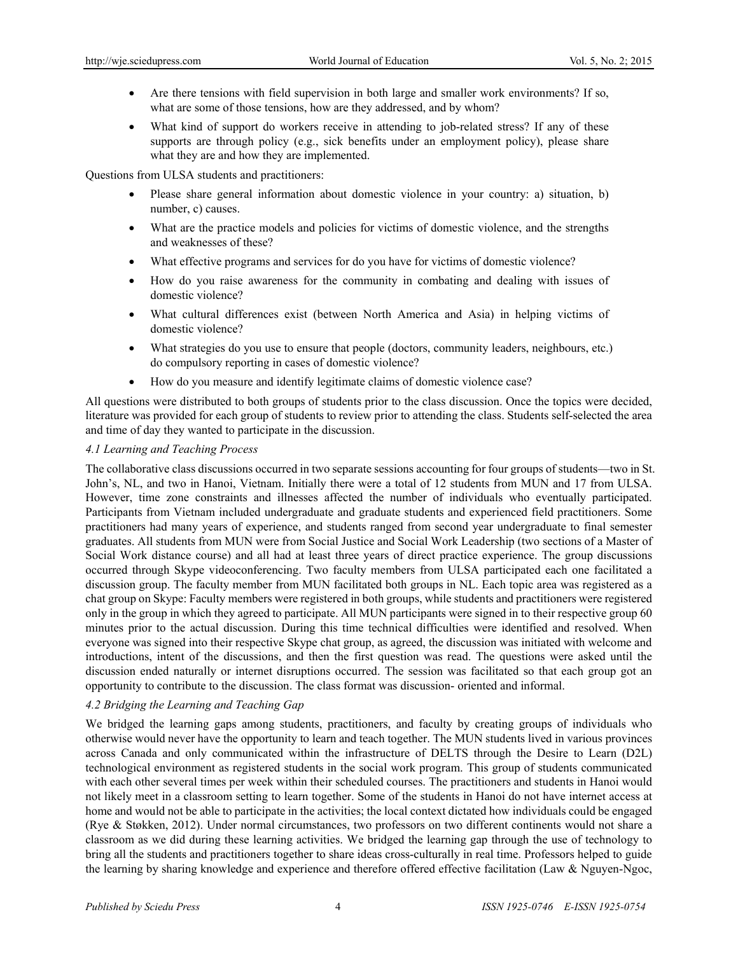- Are there tensions with field supervision in both large and smaller work environments? If so, what are some of those tensions, how are they addressed, and by whom?
- What kind of support do workers receive in attending to job-related stress? If any of these supports are through policy (e.g., sick benefits under an employment policy), please share what they are and how they are implemented.

Questions from ULSA students and practitioners:

- Please share general information about domestic violence in your country: a) situation, b) number, c) causes.
- What are the practice models and policies for victims of domestic violence, and the strengths and weaknesses of these?
- What effective programs and services for do you have for victims of domestic violence?
- How do you raise awareness for the community in combating and dealing with issues of domestic violence?
- What cultural differences exist (between North America and Asia) in helping victims of domestic violence?
- What strategies do you use to ensure that people (doctors, community leaders, neighbours, etc.) do compulsory reporting in cases of domestic violence?
- How do you measure and identify legitimate claims of domestic violence case?

All questions were distributed to both groups of students prior to the class discussion. Once the topics were decided, literature was provided for each group of students to review prior to attending the class. Students self-selected the area and time of day they wanted to participate in the discussion.

#### *4.1 Learning and Teaching Process*

The collaborative class discussions occurred in two separate sessions accounting for four groups of students—two in St. John's, NL, and two in Hanoi, Vietnam. Initially there were a total of 12 students from MUN and 17 from ULSA. However, time zone constraints and illnesses affected the number of individuals who eventually participated. Participants from Vietnam included undergraduate and graduate students and experienced field practitioners. Some practitioners had many years of experience, and students ranged from second year undergraduate to final semester graduates. All students from MUN were from Social Justice and Social Work Leadership (two sections of a Master of Social Work distance course) and all had at least three years of direct practice experience. The group discussions occurred through Skype videoconferencing. Two faculty members from ULSA participated each one facilitated a discussion group. The faculty member from MUN facilitated both groups in NL. Each topic area was registered as a chat group on Skype: Faculty members were registered in both groups, while students and practitioners were registered only in the group in which they agreed to participate. All MUN participants were signed in to their respective group 60 minutes prior to the actual discussion. During this time technical difficulties were identified and resolved. When everyone was signed into their respective Skype chat group, as agreed, the discussion was initiated with welcome and introductions, intent of the discussions, and then the first question was read. The questions were asked until the discussion ended naturally or internet disruptions occurred. The session was facilitated so that each group got an opportunity to contribute to the discussion. The class format was discussion- oriented and informal.

#### *4.2 Bridging the Learning and Teaching Gap*

We bridged the learning gaps among students, practitioners, and faculty by creating groups of individuals who otherwise would never have the opportunity to learn and teach together. The MUN students lived in various provinces across Canada and only communicated within the infrastructure of DELTS through the Desire to Learn (D2L) technological environment as registered students in the social work program. This group of students communicated with each other several times per week within their scheduled courses. The practitioners and students in Hanoi would not likely meet in a classroom setting to learn together. Some of the students in Hanoi do not have internet access at home and would not be able to participate in the activities; the local context dictated how individuals could be engaged (Rye & Støkken, 2012). Under normal circumstances, two professors on two different continents would not share a classroom as we did during these learning activities. We bridged the learning gap through the use of technology to bring all the students and practitioners together to share ideas cross-culturally in real time. Professors helped to guide the learning by sharing knowledge and experience and therefore offered effective facilitation (Law & Nguyen-Ngoc,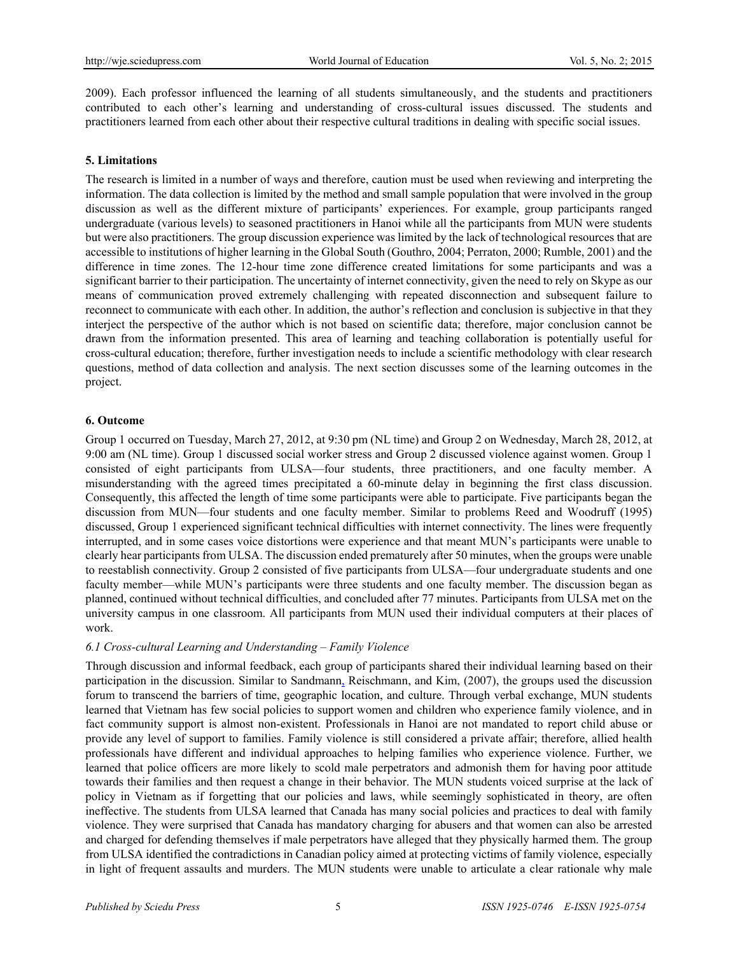2009). Each professor influenced the learning of all students simultaneously, and the students and practitioners contributed to each other's learning and understanding of cross-cultural issues discussed. The students and practitioners learned from each other about their respective cultural traditions in dealing with specific social issues.

### **5. Limitations**

The research is limited in a number of ways and therefore, caution must be used when reviewing and interpreting the information. The data collection is limited by the method and small sample population that were involved in the group discussion as well as the different mixture of participants' experiences. For example, group participants ranged undergraduate (various levels) to seasoned practitioners in Hanoi while all the participants from MUN were students but were also practitioners. The group discussion experience was limited by the lack of technological resources that are accessible to institutions of higher learning in the Global South (Gouthro, 2004; Perraton, 2000; Rumble, 2001) and the difference in time zones. The 12-hour time zone difference created limitations for some participants and was a significant barrier to their participation. The uncertainty of internet connectivity, given the need to rely on Skype as our means of communication proved extremely challenging with repeated disconnection and subsequent failure to reconnect to communicate with each other. In addition, the author's reflection and conclusion is subjective in that they interject the perspective of the author which is not based on scientific data; therefore, major conclusion cannot be drawn from the information presented. This area of learning and teaching collaboration is potentially useful for cross-cultural education; therefore, further investigation needs to include a scientific methodology with clear research questions, method of data collection and analysis. The next section discusses some of the learning outcomes in the project.

#### **6. Outcome**

Group 1 occurred on Tuesday, March 27, 2012, at 9:30 pm (NL time) and Group 2 on Wednesday, March 28, 2012, at 9:00 am (NL time). Group 1 discussed social worker stress and Group 2 discussed violence against women. Group 1 consisted of eight participants from ULSA—four students, three practitioners, and one faculty member. A misunderstanding with the agreed times precipitated a 60-minute delay in beginning the first class discussion. Consequently, this affected the length of time some participants were able to participate. Five participants began the discussion from MUN—four students and one faculty member. Similar to problems Reed and Woodruff (1995) discussed, Group 1 experienced significant technical difficulties with internet connectivity. The lines were frequently interrupted, and in some cases voice distortions were experience and that meant MUN's participants were unable to clearly hear participants from ULSA. The discussion ended prematurely after 50 minutes, when the groups were unable to reestablish connectivity. Group 2 consisted of five participants from ULSA—four undergraduate students and one faculty member—while MUN's participants were three students and one faculty member. The discussion began as planned, continued without technical difficulties, and concluded after 77 minutes. Participants from ULSA met on the university campus in one classroom. All participants from MUN used their individual computers at their places of work.

## *6.1 Cross-cultural Learning and Understanding – Family Violence*

Through discussion and informal feedback, each group of participants shared their individual learning based on their participation in the discussion. Similar to Sandmann, Reischmann, and Kim, (2007), the groups used the discussion forum to transcend the barriers of time, geographic location, and culture. Through verbal exchange, MUN students learned that Vietnam has few social policies to support women and children who experience family violence, and in fact community support is almost non-existent. Professionals in Hanoi are not mandated to report child abuse or provide any level of support to families. Family violence is still considered a private affair; therefore, allied health professionals have different and individual approaches to helping families who experience violence. Further, we learned that police officers are more likely to scold male perpetrators and admonish them for having poor attitude towards their families and then request a change in their behavior. The MUN students voiced surprise at the lack of policy in Vietnam as if forgetting that our policies and laws, while seemingly sophisticated in theory, are often ineffective. The students from ULSA learned that Canada has many social policies and practices to deal with family violence. They were surprised that Canada has mandatory charging for abusers and that women can also be arrested and charged for defending themselves if male perpetrators have alleged that they physically harmed them. The group from ULSA identified the contradictions in Canadian policy aimed at protecting victims of family violence, especially in light of frequent assaults and murders. The MUN students were unable to articulate a clear rationale why male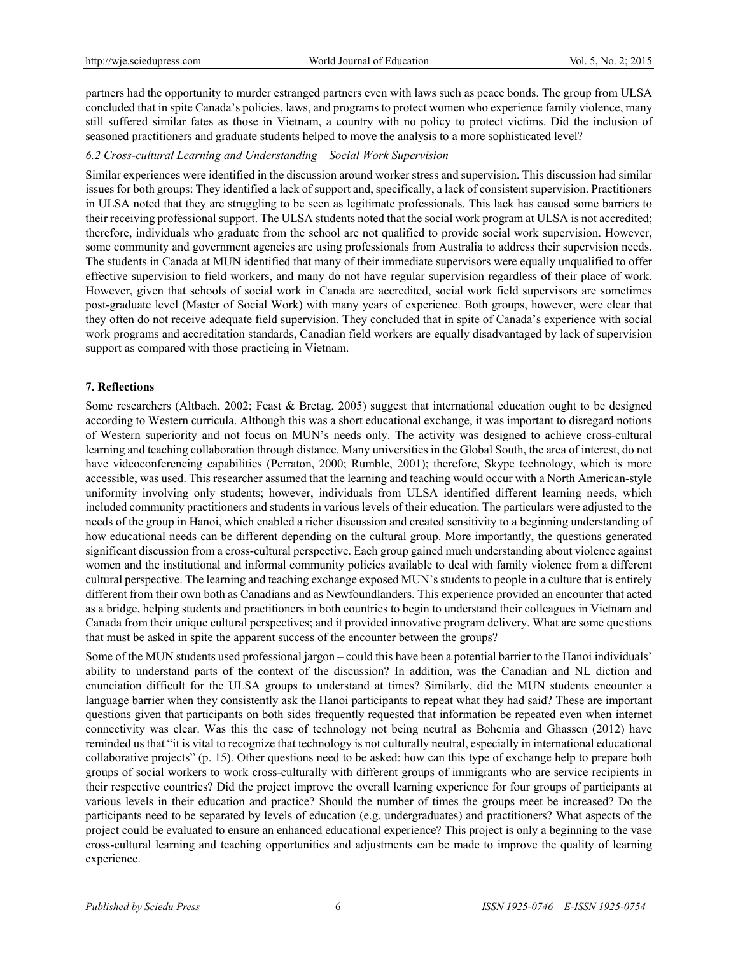partners had the opportunity to murder estranged partners even with laws such as peace bonds. The group from ULSA concluded that in spite Canada's policies, laws, and programs to protect women who experience family violence, many still suffered similar fates as those in Vietnam, a country with no policy to protect victims. Did the inclusion of seasoned practitioners and graduate students helped to move the analysis to a more sophisticated level?

#### *6.2 Cross-cultural Learning and Understanding – Social Work Supervision*

Similar experiences were identified in the discussion around worker stress and supervision. This discussion had similar issues for both groups: They identified a lack of support and, specifically, a lack of consistent supervision. Practitioners in ULSA noted that they are struggling to be seen as legitimate professionals. This lack has caused some barriers to their receiving professional support. The ULSA students noted that the social work program at ULSA is not accredited; therefore, individuals who graduate from the school are not qualified to provide social work supervision. However, some community and government agencies are using professionals from Australia to address their supervision needs. The students in Canada at MUN identified that many of their immediate supervisors were equally unqualified to offer effective supervision to field workers, and many do not have regular supervision regardless of their place of work. However, given that schools of social work in Canada are accredited, social work field supervisors are sometimes post-graduate level (Master of Social Work) with many years of experience. Both groups, however, were clear that they often do not receive adequate field supervision. They concluded that in spite of Canada's experience with social work programs and accreditation standards, Canadian field workers are equally disadvantaged by lack of supervision support as compared with those practicing in Vietnam.

## **7. Reflections**

Some researchers (Altbach, 2002; Feast & Bretag, 2005) suggest that international education ought to be designed according to Western curricula. Although this was a short educational exchange, it was important to disregard notions of Western superiority and not focus on MUN's needs only. The activity was designed to achieve cross-cultural learning and teaching collaboration through distance. Many universities in the Global South, the area of interest, do not have videoconferencing capabilities (Perraton, 2000; Rumble, 2001); therefore, Skype technology, which is more accessible, was used. This researcher assumed that the learning and teaching would occur with a North American-style uniformity involving only students; however, individuals from ULSA identified different learning needs, which included community practitioners and students in various levels of their education. The particulars were adjusted to the needs of the group in Hanoi, which enabled a richer discussion and created sensitivity to a beginning understanding of how educational needs can be different depending on the cultural group. More importantly, the questions generated significant discussion from a cross-cultural perspective. Each group gained much understanding about violence against women and the institutional and informal community policies available to deal with family violence from a different cultural perspective. The learning and teaching exchange exposed MUN's students to people in a culture that is entirely different from their own both as Canadians and as Newfoundlanders. This experience provided an encounter that acted as a bridge, helping students and practitioners in both countries to begin to understand their colleagues in Vietnam and Canada from their unique cultural perspectives; and it provided innovative program delivery. What are some questions that must be asked in spite the apparent success of the encounter between the groups?

Some of the MUN students used professional jargon – could this have been a potential barrier to the Hanoi individuals' ability to understand parts of the context of the discussion? In addition, was the Canadian and NL diction and enunciation difficult for the ULSA groups to understand at times? Similarly, did the MUN students encounter a language barrier when they consistently ask the Hanoi participants to repeat what they had said? These are important questions given that participants on both sides frequently requested that information be repeated even when internet connectivity was clear. Was this the case of technology not being neutral as Bohemia and Ghassen (2012) have reminded us that "it is vital to recognize that technology is not culturally neutral, especially in international educational collaborative projects" (p. 15). Other questions need to be asked: how can this type of exchange help to prepare both groups of social workers to work cross-culturally with different groups of immigrants who are service recipients in their respective countries? Did the project improve the overall learning experience for four groups of participants at various levels in their education and practice? Should the number of times the groups meet be increased? Do the participants need to be separated by levels of education (e.g. undergraduates) and practitioners? What aspects of the project could be evaluated to ensure an enhanced educational experience? This project is only a beginning to the vase cross-cultural learning and teaching opportunities and adjustments can be made to improve the quality of learning experience.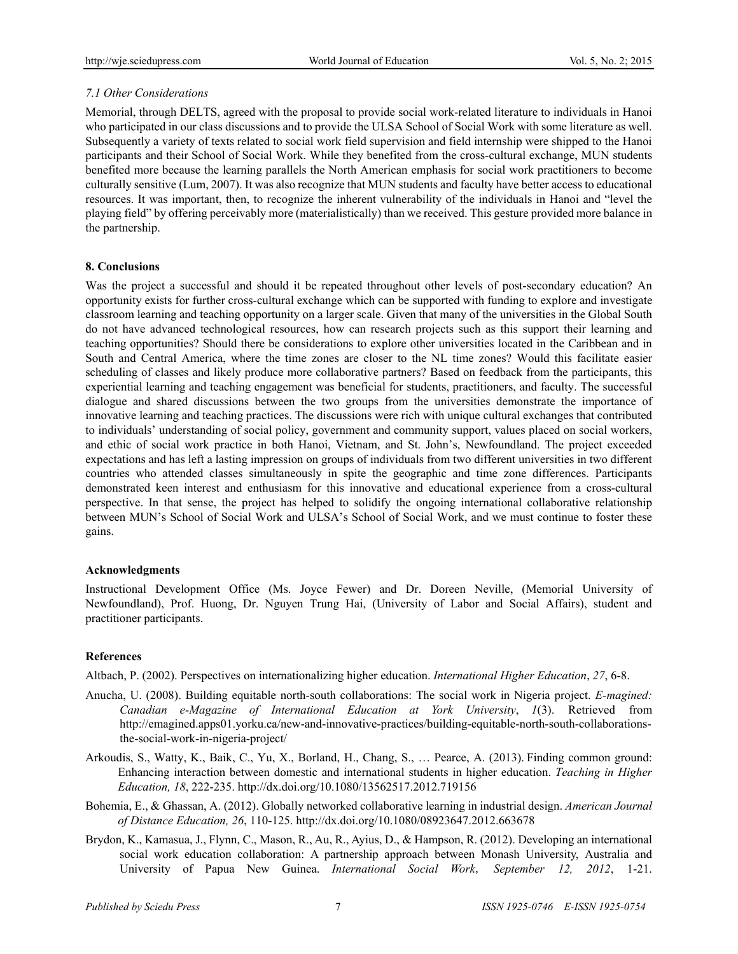## *7.1 Other Considerations*

Memorial, through DELTS, agreed with the proposal to provide social work-related literature to individuals in Hanoi who participated in our class discussions and to provide the ULSA School of Social Work with some literature as well. Subsequently a variety of texts related to social work field supervision and field internship were shipped to the Hanoi participants and their School of Social Work. While they benefited from the cross-cultural exchange, MUN students benefited more because the learning parallels the North American emphasis for social work practitioners to become culturally sensitive (Lum, 2007). It was also recognize that MUN students and faculty have better access to educational resources. It was important, then, to recognize the inherent vulnerability of the individuals in Hanoi and "level the playing field" by offering perceivably more (materialistically) than we received. This gesture provided more balance in the partnership.

## **8. Conclusions**

Was the project a successful and should it be repeated throughout other levels of post-secondary education? An opportunity exists for further cross-cultural exchange which can be supported with funding to explore and investigate classroom learning and teaching opportunity on a larger scale. Given that many of the universities in the Global South do not have advanced technological resources, how can research projects such as this support their learning and teaching opportunities? Should there be considerations to explore other universities located in the Caribbean and in South and Central America, where the time zones are closer to the NL time zones? Would this facilitate easier scheduling of classes and likely produce more collaborative partners? Based on feedback from the participants, this experiential learning and teaching engagement was beneficial for students, practitioners, and faculty. The successful dialogue and shared discussions between the two groups from the universities demonstrate the importance of innovative learning and teaching practices. The discussions were rich with unique cultural exchanges that contributed to individuals' understanding of social policy, government and community support, values placed on social workers, and ethic of social work practice in both Hanoi, Vietnam, and St. John's, Newfoundland. The project exceeded expectations and has left a lasting impression on groups of individuals from two different universities in two different countries who attended classes simultaneously in spite the geographic and time zone differences. Participants demonstrated keen interest and enthusiasm for this innovative and educational experience from a cross-cultural perspective. In that sense, the project has helped to solidify the ongoing international collaborative relationship between MUN's School of Social Work and ULSA's School of Social Work, and we must continue to foster these gains.

#### **Acknowledgments**

Instructional Development Office (Ms. Joyce Fewer) and Dr. Doreen Neville, (Memorial University of Newfoundland), Prof. Huong, Dr. Nguyen Trung Hai, (University of Labor and Social Affairs), student and practitioner participants.

## **References**

Altbach, P. (2002). Perspectives on internationalizing higher education. *International Higher Education*, *27*, 6-8.

- Anucha, U. (2008). Building equitable north-south collaborations: The social work in Nigeria project. *E-magined: Canadian e-Magazine of International Education at York University*, *1*(3). Retrieved from http://emagined.apps01.yorku.ca/new-and-innovative-practices/building-equitable-north-south-collaborationsthe-social-work-in-nigeria-project/
- Arkoudis, S., Watty, K., Baik, C., Yu, X., Borland, H., Chang, S., … Pearce, A. (2013). Finding common ground: Enhancing interaction between domestic and international students in higher education. *Teaching in Higher Education, 18*, 222-235. http://dx.doi.org/10.1080/13562517.2012.719156
- Bohemia, E., & Ghassan, A. (2012). Globally networked collaborative learning in industrial design. *American Journal of Distance Education, 26*, 110-125. http://dx.doi.org/10.1080/08923647.2012.663678
- Brydon, K., Kamasua, J., Flynn, C., Mason, R., Au, R., Ayius, D., & Hampson, R. (2012). Developing an international social work education collaboration: A partnership approach between Monash University, Australia and University of Papua New Guinea. *International Social Work*, *September 12, 2012*, 1-21.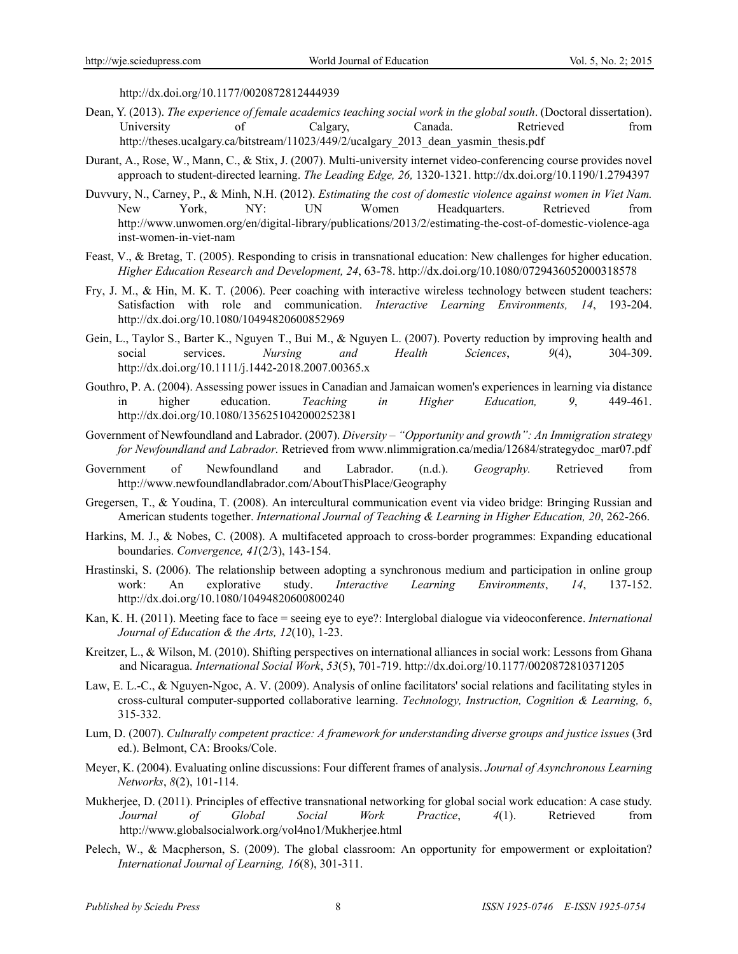http://dx.doi.org/10.1177/0020872812444939

- Dean, Y. (2013). *The experience of female academics teaching social work in the global south*. (Doctoral dissertation). University of Calgary, Canada. Retrieved from http://theses.ucalgary.ca/bitstream/11023/449/2/ucalgary\_2013\_dean\_yasmin\_thesis.pdf
- Durant, A., Rose, W., Mann, C., & Stix, J. (2007). Multi-university internet video-conferencing course provides novel approach to student-directed learning. *The Leading Edge, 26,* 1320-1321. http://dx.doi.org/10.1190/1.2794397
- Duvvury, N., Carney, P., & Minh, N.H. (2012). *Estimating the cost of domestic violence against women in Viet Nam.* New York, NY: UN Women Headquarters. Retrieved from http://www.unwomen.org/en/digital-library/publications/2013/2/estimating-the-cost-of-domestic-violence-aga inst-women-in-viet-nam
- Feast, V., & Bretag, T. (2005). Responding to crisis in transnational education: New challenges for higher education. *Higher Education Research and Development, 24*, 63-78. http://dx.doi.org/10.1080/0729436052000318578
- Fry, J. M., & Hin, M. K. T. (2006). Peer coaching with interactive wireless technology between student teachers: Satisfaction with role and communication. *Interactive Learning Environments, 14*, 193-204. http://dx.doi.org/10.1080/10494820600852969
- Gein, L., Taylor S., Barter K., Nguyen T., Bui M., & Nguyen L. (2007). Poverty reduction by improving health and social services. *Nursing and Health Sciences*, *9*(4), 304-309. http://dx.doi.org/10.1111/j.1442-2018.2007.00365.x
- Gouthro, P. A. (2004). Assessing power issues in Canadian and Jamaican women's experiences in learning via distance in higher education. *Teaching in Higher Education, 9*, 449-461. http://dx.doi.org/10.1080/1356251042000252381
- Government of Newfoundland and Labrador. (2007). *Diversity "Opportunity and growth": An Immigration strategy for Newfoundland and Labrador.* Retrieved from www.nlimmigration.ca/media/12684/strategydoc\_mar07.pdf
- Government of Newfoundland and Labrador. (n.d.). *Geography.* Retrieved from http://www.newfoundlandlabrador.com/AboutThisPlace/Geography
- Gregersen, T., & Youdina, T. (2008). An intercultural communication event via video bridge: Bringing Russian and American students together. *International Journal of Teaching & Learning in Higher Education, 20*, 262-266.
- Harkins, M. J., & Nobes, C. (2008). A multifaceted approach to cross-border programmes: Expanding educational boundaries. *Convergence, 41*(2/3), 143-154.
- Hrastinski, S. (2006). The relationship between adopting a synchronous medium and participation in online group work: An explorative study. *Interactive Learning Environments*, *14*, 137-152. http://dx.doi.org/10.1080/10494820600800240
- Kan, K. H. (2011). Meeting face to face = seeing eye to eye?: Interglobal dialogue via videoconference. *International Journal of Education & the Arts, 12*(10), 1-23.
- Kreitzer, L., & Wilson, M. (2010). Shifting perspectives on international alliances in social work: Lessons from Ghana and Nicaragua. *International Social Work*, *53*(5), 701-719. http://dx.doi.org/10.1177/0020872810371205
- Law, E. L.-C., & Nguyen-Ngoc, A. V. (2009). Analysis of online facilitators' social relations and facilitating styles in cross-cultural computer-supported collaborative learning. *Technology, Instruction, Cognition & Learning, 6*, 315-332.
- Lum, D. (2007). *Culturally competent practice: A framework for understanding diverse groups and justice issues* (3rd ed.). Belmont, CA: Brooks/Cole.
- Meyer, K. (2004). Evaluating online discussions: Four different frames of analysis. *Journal of Asynchronous Learning Networks*, *8*(2), 101-114.
- Mukherjee, D. (2011). Principles of effective transnational networking for global social work education: A case study. *Journal of Global Social Work Practice*, *4*(1). Retrieved from http://www.globalsocialwork.org/vol4no1/Mukherjee.html
- Pelech, W., & Macpherson, S. (2009). The global classroom: An opportunity for empowerment or exploitation? *International Journal of Learning, 16*(8), 301-311.